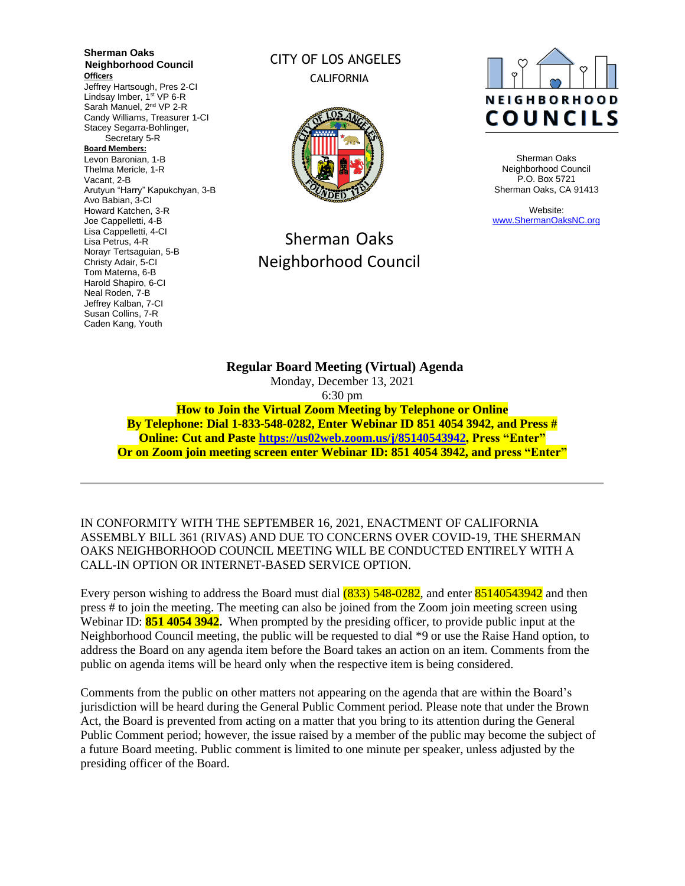**Sherman Oaks Neighborhood Council Officers** Jeffrey Hartsough, Pres 2-CI Lindsay Imber, 1<sup>st</sup> VP 6-R Sarah Manuel, 2<sup>nd</sup> VP 2-R Candy Williams, Treasurer 1-CI Stacey Segarra-Bohlinger, Secretary 5-R **Board Members:** Levon Baronian, 1-B Thelma Mericle, 1-R Vacant, 2-B Arutyun "Harry" Kapukchyan, 3-B Avo Babian, 3-CI Howard Katchen, 3-R Joe Cappelletti, 4-B Lisa Cappelletti, 4-CI Lisa Petrus, 4-R Norayr Tertsaguian, 5-B Christy Adair, 5-CI Tom Materna, 6-B Harold Shapiro, 6-CI Neal Roden, 7-B Jeffrey Kalban, 7-CI Susan Collins, 7-R Caden Kang, Youth

# CITY OF LOS ANGELES CALIFORNIA



# Sherman Oaks Neighborhood Council



Sherman Oaks Neighborhood Council P.O. Box 5721 Sherman Oaks, CA 91413

Website: [www.ShermanOaksNC.org](http://www.shermanoaksnc.org/)

**Regular Board Meeting (Virtual) Agenda**  Monday, December 13, 2021 6:30 pm **How to Join the Virtual Zoom Meeting by Telephone or Online By Telephone: Dial 1-833-548-0282, Enter Webinar ID 851 4054 3942, and Press # Online: Cut and Paste [https://us02web.zoom.us/j/85140543942,](https://us02web.zoom.us/j/85140543942) Press "Enter" Or on Zoom join meeting screen enter Webinar ID: 851 4054 3942, and press "Enter"**

IN CONFORMITY WITH THE SEPTEMBER 16, 2021, ENACTMENT OF CALIFORNIA ASSEMBLY BILL 361 (RIVAS) AND DUE TO CONCERNS OVER COVID-19, THE SHERMAN OAKS NEIGHBORHOOD COUNCIL MEETING WILL BE CONDUCTED ENTIRELY WITH A CALL-IN OPTION OR INTERNET-BASED SERVICE OPTION.

Every person wishing to address the Board must dial (833) 548-0282, and enter 85140543942 and then press # to join the meeting. The meeting can also be joined from the Zoom join meeting screen using Webinar ID: **851 4054 3942.** When prompted by the presiding officer, to provide public input at the Neighborhood Council meeting, the public will be requested to dial \*9 or use the Raise Hand option, to address the Board on any agenda item before the Board takes an action on an item. Comments from the public on agenda items will be heard only when the respective item is being considered.

Comments from the public on other matters not appearing on the agenda that are within the Board's jurisdiction will be heard during the General Public Comment period. Please note that under the Brown Act, the Board is prevented from acting on a matter that you bring to its attention during the General Public Comment period; however, the issue raised by a member of the public may become the subject of a future Board meeting. Public comment is limited to one minute per speaker, unless adjusted by the presiding officer of the Board.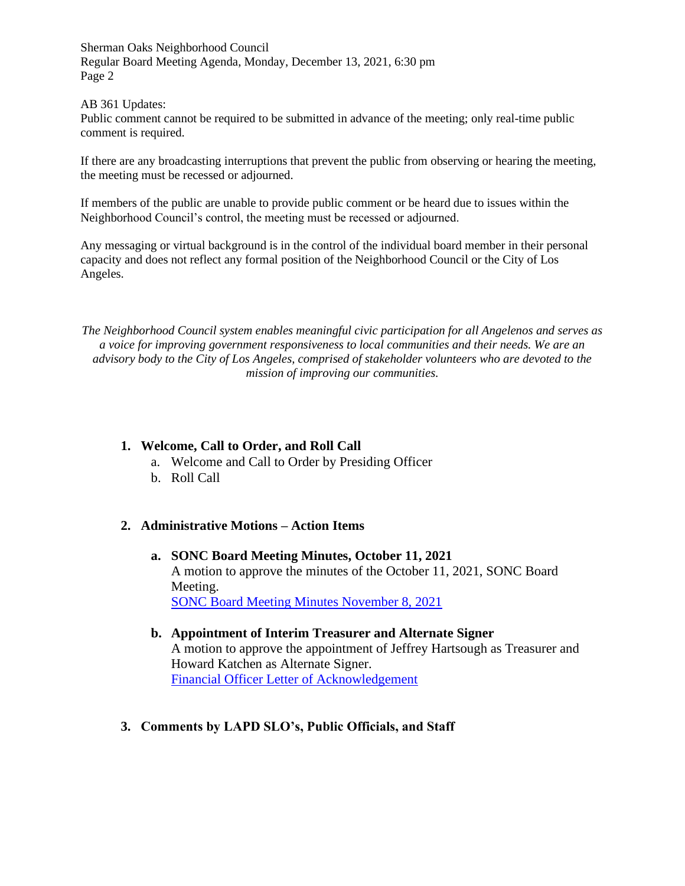AB 361 Updates:

Public comment cannot be required to be submitted in advance of the meeting; only real-time public comment is required.

If there are any broadcasting interruptions that prevent the public from observing or hearing the meeting, the meeting must be recessed or adjourned.

If members of the public are unable to provide public comment or be heard due to issues within the Neighborhood Council's control, the meeting must be recessed or adjourned.

Any messaging or virtual background is in the control of the individual board member in their personal capacity and does not reflect any formal position of the Neighborhood Council or the City of Los Angeles.

*The Neighborhood Council system enables meaningful civic participation for all Angelenos and serves as a voice for improving government responsiveness to local communities and their needs. We are an advisory body to the City of Los Angeles, comprised of stakeholder volunteers who are devoted to the mission of improving our communities.*

# **1. Welcome, Call to Order, and Roll Call**

- a. Welcome and Call to Order by Presiding Officer
- b. Roll Call

## **2. Administrative Motions – Action Items**

- **a. SONC Board Meeting Minutes, October 11, 2021** A motion to approve the minutes of the October 11, 2021, SONC Board Meeting. [SONC Board Meeting Minutes November 8, 2021](https://www.shermanoaksnc.org/ncfiles/viewCommitteeFile/26139)
- **b. Appointment of Interim Treasurer and Alternate Signer** A motion to approve the appointment of Jeffrey Hartsough as Treasurer and Howard Katchen as Alternate Signer. [Financial Officer Letter of Acknowledgement](https://www.shermanoaksnc.org/ncfiles/viewCommitteeFile/26162)
- **3. Comments by LAPD SLO's, Public Officials, and Staff**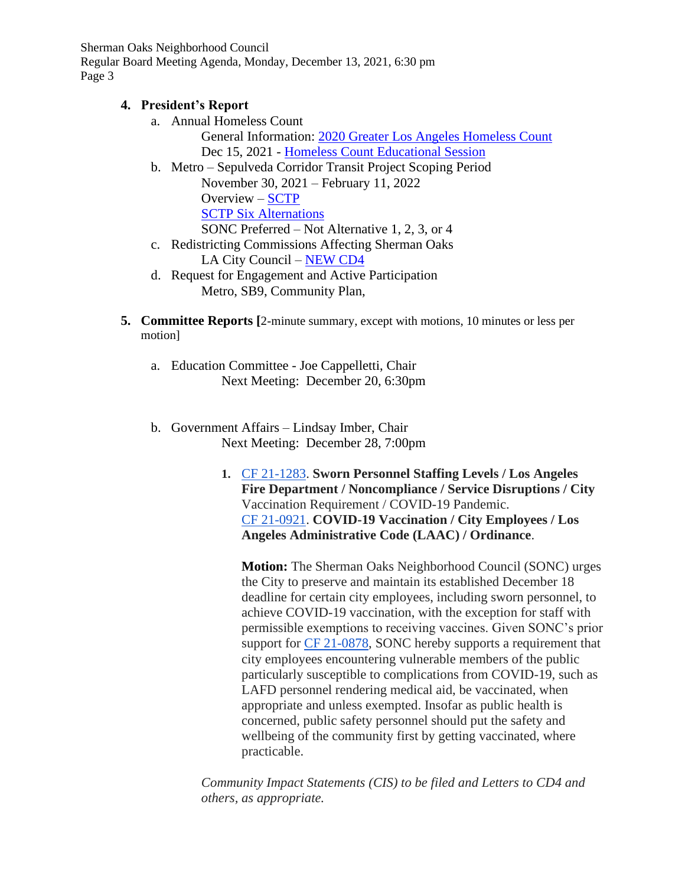# **4. President's Report**

a. Annual Homeless Count

General Information: [2020 Greater Los Angeles Homeless Count](http://www.theycountwillyou.org/?e=f5d81eed5f3020d7a306d5b19694bb16&utm_source=lahsa&utm_medium=email&utm_campaign=vol_info_sess_faq_12_06_21&n=10) Dec 15, 2021 - [Homeless Count Educational](https://zoom.us/meeting/register/tJArce2hrT4sG9Ufrkb7EQJuig9VoIPyA3v9) Session

- b. Metro Sepulveda Corridor Transit Project Scoping Period November 30, 2021 – February 11, 2022 Overview – [SCTP](https://www.metro.net/projects/sepulvedacorridor/) **[SCTP Six Alternations](https://thesource.metro.net/2021/11/30/public-comment-period-begins-today-for-sepulveda-transit-corridor-environmental-study-here-are-the-six-alternatives/)** SONC Preferred – Not Alternative 1, 2, 3, or 4
- c. Redistricting Commissions Affecting Sherman Oaks LA City Council – [NEW CD4](https://clkrep.lacity.org/onlinedocs/2020/20-0668-S7_misc_draftmap_commfromCLA.pdf)
- d. Request for Engagement and Active Participation Metro, SB9, Community Plan,
- **5. Committee Reports [**2-minute summary, except with motions, 10 minutes or less per motion]
	- a. Education Committee Joe Cappelletti, Chair Next Meeting: December 20, 6:30pm
	- b. Government Affairs Lindsay Imber, Chair Next Meeting: December 28, 7:00pm
		- **1.** [CF 21-1283.](https://cityclerk.lacity.org/lacityclerkconnect/index.cfm?fa=ccfi.viewrecord&cfnumber=21-1283) **Sworn Personnel Staffing Levels / Los Angeles Fire Department / Noncompliance / Service Disruptions / City** Vaccination Requirement / COVID-19 Pandemic[.](https://cityclerk.lacity.org/lacityclerkconnect/index.cfm?fa=ccfi.viewrecord&cfnumber=21-0921) [CF 21-0921.](https://cityclerk.lacity.org/lacityclerkconnect/index.cfm?fa=ccfi.viewrecord&cfnumber=21-0921) **COVID-19 Vaccination / City Employees / Los Angeles Administrative Code (LAAC) / Ordinance**.

**Motion:** The Sherman Oaks Neighborhood Council (SONC) urges the City to preserve and maintain its established December 18 deadline for certain city employees, including sworn personnel, to achieve COVID-19 vaccination, with the exception for staff with permissible exemptions to receiving vaccines. Given SONC's prior support for [CF 21-0878,](https://cityclerk.lacity.org/lacityclerkconnect/index.cfm?fa=ccfi.viewrecord&cfnumber=21-0878) SONC hereby supports a requirement that city employees encountering vulnerable members of the public particularly susceptible to complications from COVID-19, such as LAFD personnel rendering medical aid, be vaccinated, when appropriate and unless exempted. Insofar as public health is concerned, public safety personnel should put the safety and wellbeing of the community first by getting vaccinated, where practicable.

*Community Impact Statements (CIS) to be filed and Letters to CD4 and others, as appropriate.*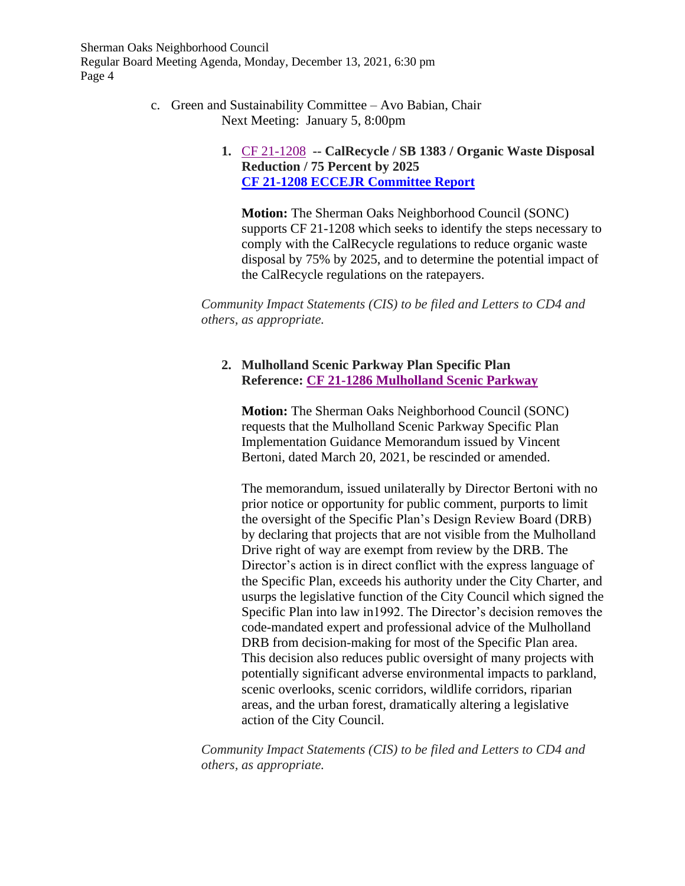> c. Green and Sustainability Committee – Avo Babian, Chair Next Meeting: January 5, 8:00pm

# **1.** [CF 21-1208](https://cityclerk.lacity.org/lacityclerkconnect/index.cfm?fa=ccfi.viewrecord&cfnumber=21-1039) **-- CalRecycle / SB 1383 / Organic Waste Disposal Reduction / 75 Percent by 2025 CF 21-1208 [ECCEJR Committee Report](https://www.shermanoaksnc.org/ncfiles/viewCommitteeFile/26143)**

**Motion:** The Sherman Oaks Neighborhood Council (SONC) supports CF 21-1208 which seeks to identify the steps necessary to comply with the CalRecycle regulations to reduce organic waste disposal by 75% by 2025, and to determine the potential impact of the CalRecycle regulations on the ratepayers.

*Community Impact Statements (CIS) to be filed and Letters to CD4 and others, as appropriate.*

# **2. Mulholland Scenic Parkway Plan Specific Plan Reference: CF [21-1286 Mulholland Scenic Parkway](https://www.shermanoaksnc.org/ncfiles/viewCommitteeFile/26167)**

**Motion:** The Sherman Oaks Neighborhood Council (SONC) requests that the Mulholland Scenic Parkway Specific Plan Implementation Guidance Memorandum issued by Vincent Bertoni, dated March 20, 2021, be rescinded or amended.

The memorandum, issued unilaterally by Director Bertoni with no prior notice or opportunity for public comment, purports to limit the oversight of the Specific Plan's Design Review Board (DRB) by declaring that projects that are not visible from the Mulholland Drive right of way are exempt from review by the DRB. The Director's action is in direct conflict with the express language of the Specific Plan, exceeds his authority under the City Charter, and usurps the legislative function of the City Council which signed the Specific Plan into law in1992. The Director's decision removes the code-mandated expert and professional advice of the Mulholland DRB from decision-making for most of the Specific Plan area. This decision also reduces public oversight of many projects with potentially significant adverse environmental impacts to parkland, scenic overlooks, scenic corridors, wildlife corridors, riparian areas, and the urban forest, dramatically altering a legislative action of the City Council.

*Community Impact Statements (CIS) to be filed and Letters to CD4 and others, as appropriate.*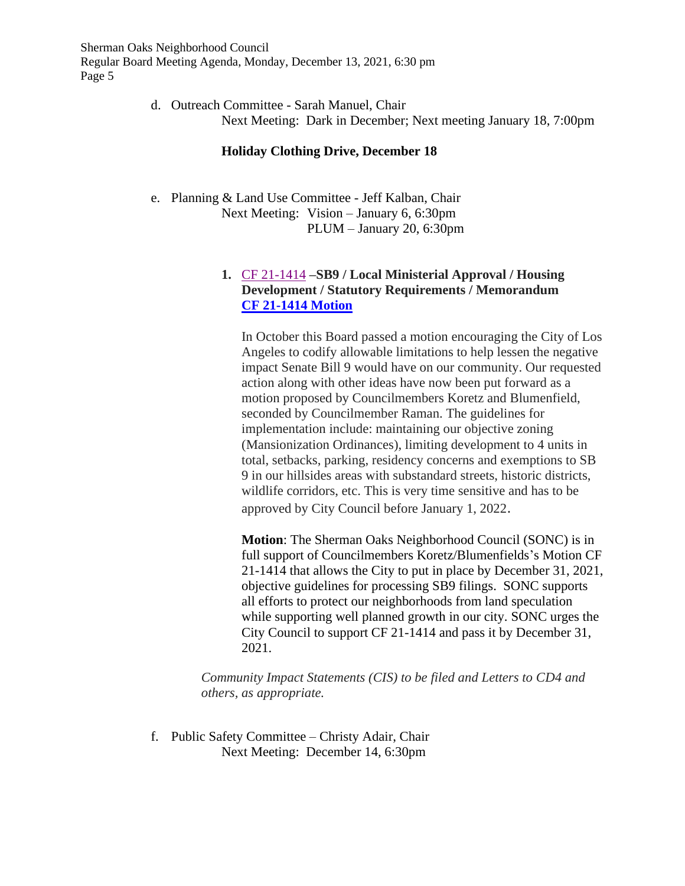> d. Outreach Committee - Sarah Manuel, Chair Next Meeting: Dark in December; Next meeting January 18, 7:00pm

#### **Holiday Clothing Drive, December 18**

e. Planning & Land Use Committee - Jeff Kalban, Chair Next Meeting: Vision – January 6, 6:30pm PLUM – January 20, 6:30pm

## **1.** [CF 21-1414](https://cityclerk.lacity.org/lacityclerkconnect/index.cfm?fa=ccfi.viewrecord&cfnumber=21-1039) **–SB9 / Local Ministerial Approval / Housing Development / Statutory Requirements / Memorandum [CF 21-1414](https://www.shermanoaksnc.org/ncfiles/viewCommitteeFile/26144) Motion**

In October this Board passed a motion encouraging the City of Los Angeles to codify allowable limitations to help lessen the negative impact Senate Bill 9 would have on our community. Our requested action along with other ideas have now been put forward as a motion proposed by Councilmembers Koretz and Blumenfield, seconded by Councilmember Raman. The guidelines for implementation include: maintaining our objective zoning (Mansionization Ordinances), limiting development to 4 units in total, setbacks, parking, residency concerns and exemptions to SB 9 in our hillsides areas with substandard streets, historic districts, wildlife corridors, etc. This is very time sensitive and has to be approved by City Council before January 1, 2022.

**Motion**: The Sherman Oaks Neighborhood Council (SONC) is in full support of Councilmembers Koretz/Blumenfields's Motion CF 21-1414 that allows the City to put in place by December 31, 2021, objective guidelines for processing SB9 filings. SONC supports all efforts to protect our neighborhoods from land speculation while supporting well planned growth in our city. SONC urges the City Council to support CF 21-1414 and pass it by December 31, 2021.

*Community Impact Statements (CIS) to be filed and Letters to CD4 and others, as appropriate.*

f. Public Safety Committee – Christy Adair, Chair Next Meeting: December 14, 6:30pm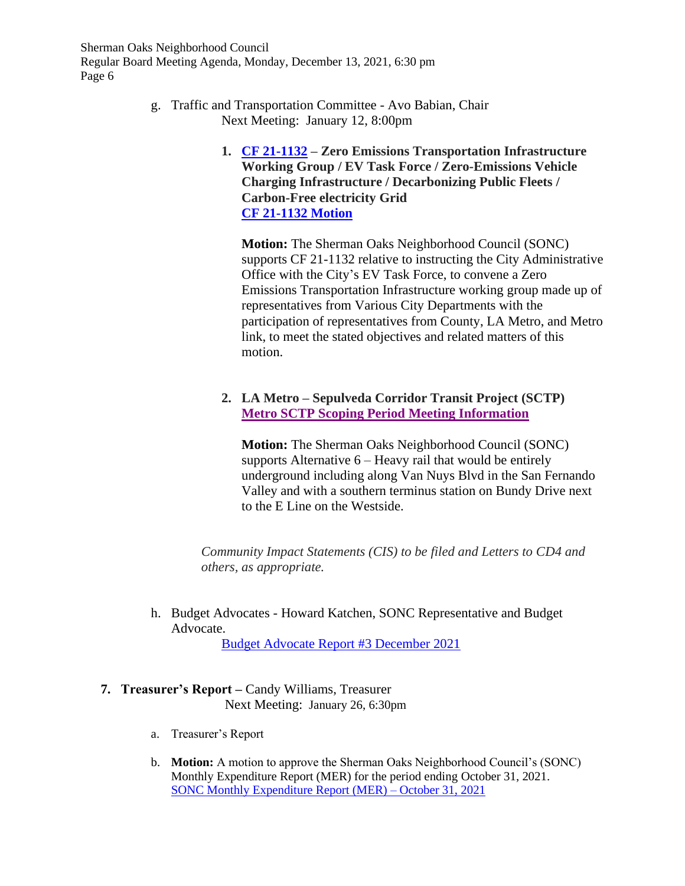- g. Traffic and Transportation Committee Avo Babian, Chair Next Meeting: January 12, 8:00pm
	- **1. [CF 21-1132](https://cityclerk.lacity.org/lacityclerkconnect/index.cfm?fa=ccfi.viewrecord&cfnumber=21-1132) – Zero Emissions Transportation Infrastructure Working Group / EV Task Force / Zero-Emissions Vehicle Charging Infrastructure / Decarbonizing Public Fleets / Carbon-Free electricity Grid [CF 21-1132](https://www.shermanoaksnc.org/ncfiles/viewCommitteeFile/26145) Motion**

**Motion:** The Sherman Oaks Neighborhood Council (SONC) supports CF 21-1132 relative to instructing the City Administrative Office with the City's EV Task Force, to convene a Zero Emissions Transportation Infrastructure working group made up of representatives from Various City Departments with the participation of representatives from County, LA Metro, and Metro link, to meet the stated objectives and related matters of this motion.

**2. LA Metro – Sepulveda Corridor Transit Project (SCTP) [Metro SCTP Scoping Period Meeting Information](https://thesource.metro.net/2021/11/30/public-comment-period-begins-today-for-sepulveda-transit-corridor-environmental-study-here-are-the-six-alternatives/)** 

**Motion:** The Sherman Oaks Neighborhood Council (SONC) supports Alternative 6 – Heavy rail that would be entirely underground including along Van Nuys Blvd in the San Fernando Valley and with a southern terminus station on Bundy Drive next to the E Line on the Westside.

*Community Impact Statements (CIS) to be filed and Letters to CD4 and others, as appropriate.*

h. Budget Advocates - Howard Katchen, SONC Representative and Budget Advocate.

[Budget Advocate Report #3](https://www.shermanoaksnc.org/ncfiles/viewCommitteeFile/26146) December 2021

## **7. Treasurer's Report –** Candy Williams, Treasurer Next Meeting: January 26, 6:30pm

- a. Treasurer's Report
- b. **Motion:** A motion to approve the Sherman Oaks Neighborhood Council's (SONC) Monthly Expenditure Report (MER) for the period ending October 31, 2021. [SONC Monthly Expenditure Report](https://www.shermanoaksnc.org/ncfiles/viewCommitteeFile/26147) (MER) – October 31, 2021